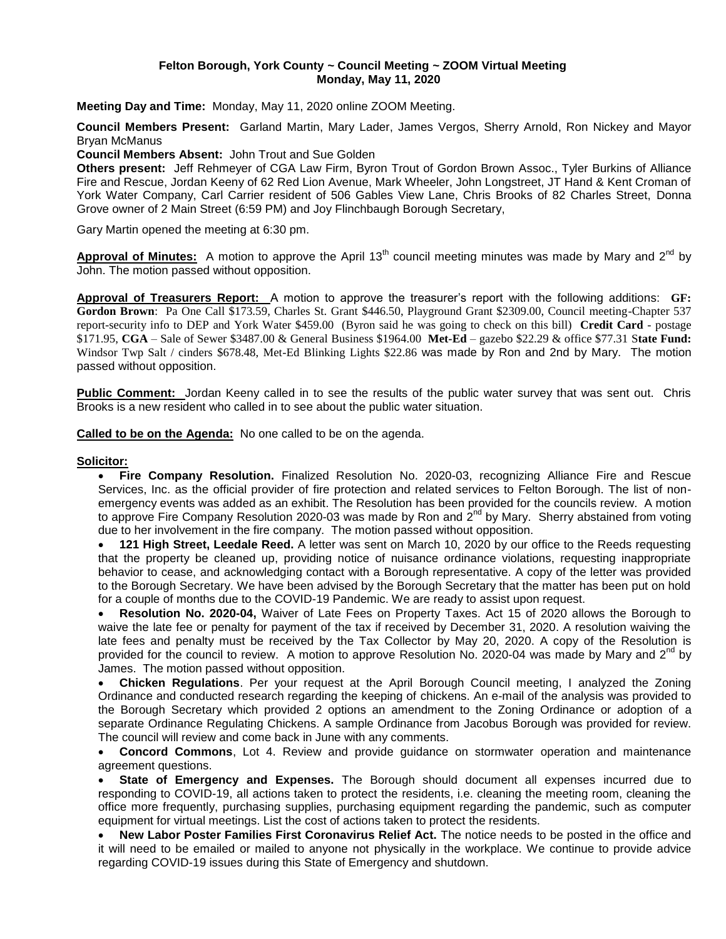#### **Felton Borough, York County ~ Council Meeting ~ ZOOM Virtual Meeting Monday, May 11, 2020**

**Meeting Day and Time:** Monday, May 11, 2020 online ZOOM Meeting.

**Council Members Present:** Garland Martin, Mary Lader, James Vergos, Sherry Arnold, Ron Nickey and Mayor Bryan McManus

**Council Members Absent:** John Trout and Sue Golden

**Others present:** Jeff Rehmeyer of CGA Law Firm, Byron Trout of Gordon Brown Assoc., Tyler Burkins of Alliance Fire and Rescue, Jordan Keeny of 62 Red Lion Avenue, Mark Wheeler, John Longstreet, JT Hand & Kent Croman of York Water Company, Carl Carrier resident of 506 Gables View Lane, Chris Brooks of 82 Charles Street, Donna Grove owner of 2 Main Street (6:59 PM) and Joy Flinchbaugh Borough Secretary,

Gary Martin opened the meeting at 6:30 pm.

Approval of Minutes: A motion to approve the April 13<sup>th</sup> council meeting minutes was made by Mary and 2<sup>nd</sup> by John. The motion passed without opposition.

**Approval of Treasurers Report:** A motion to approve the treasurer's report with the following additions: **GF: Gordon Brown**: Pa One Call \$173.59, Charles St. Grant \$446.50, Playground Grant \$2309.00, Council meeting-Chapter 537 report-security info to DEP and York Water \$459.00 (Byron said he was going to check on this bill) **Credit Card** - postage \$171.95, **CGA** – Sale of Sewer \$3487.00 & General Business \$1964.00 **Met-Ed** – gazebo \$22.29 & office \$77.31 S**tate Fund:** Windsor Twp Salt / cinders \$678.48, Met-Ed Blinking Lights \$22.86 was made by Ron and 2nd by Mary. The motion passed without opposition.

**Public Comment:** Jordan Keeny called in to see the results of the public water survey that was sent out. Chris Brooks is a new resident who called in to see about the public water situation.

**Called to be on the Agenda:** No one called to be on the agenda.

#### **Solicitor:**

 **Fire Company Resolution.** Finalized Resolution No. 2020-03, recognizing Alliance Fire and Rescue Services, Inc. as the official provider of fire protection and related services to Felton Borough. The list of nonemergency events was added as an exhibit. The Resolution has been provided for the councils review. A motion to approve Fire Company Resolution 2020-03 was made by Ron and  $2^{nd}$  by Mary. Sherry abstained from voting due to her involvement in the fire company. The motion passed without opposition.

 **121 High Street, Leedale Reed.** A letter was sent on March 10, 2020 by our office to the Reeds requesting that the property be cleaned up, providing notice of nuisance ordinance violations, requesting inappropriate behavior to cease, and acknowledging contact with a Borough representative. A copy of the letter was provided to the Borough Secretary. We have been advised by the Borough Secretary that the matter has been put on hold for a couple of months due to the COVID-19 Pandemic. We are ready to assist upon request.

 **Resolution No. 2020-04,** Waiver of Late Fees on Property Taxes. Act 15 of 2020 allows the Borough to waive the late fee or penalty for payment of the tax if received by December 31, 2020. A resolution waiving the late fees and penalty must be received by the Tax Collector by May 20, 2020. A copy of the Resolution is provided for the council to review. A motion to approve Resolution No. 2020-04 was made by Mary and  $2^{nd}$  by James. The motion passed without opposition.

 **Chicken Regulations**. Per your request at the April Borough Council meeting, I analyzed the Zoning Ordinance and conducted research regarding the keeping of chickens. An e-mail of the analysis was provided to the Borough Secretary which provided 2 options an amendment to the Zoning Ordinance or adoption of a separate Ordinance Regulating Chickens. A sample Ordinance from Jacobus Borough was provided for review. The council will review and come back in June with any comments.

 **Concord Commons**, Lot 4. Review and provide guidance on stormwater operation and maintenance agreement questions.

 **State of Emergency and Expenses.** The Borough should document all expenses incurred due to responding to COVID-19, all actions taken to protect the residents, i.e. cleaning the meeting room, cleaning the office more frequently, purchasing supplies, purchasing equipment regarding the pandemic, such as computer equipment for virtual meetings. List the cost of actions taken to protect the residents.

 **New Labor Poster Families First Coronavirus Relief Act.** The notice needs to be posted in the office and it will need to be emailed or mailed to anyone not physically in the workplace. We continue to provide advice regarding COVID-19 issues during this State of Emergency and shutdown.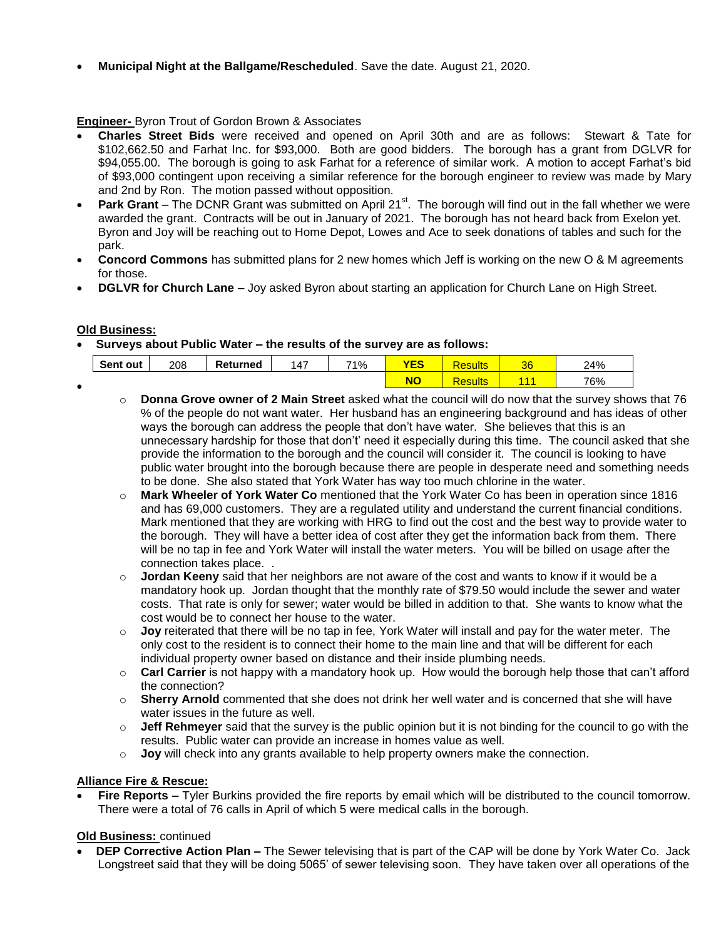**Municipal Night at the Ballgame/Rescheduled**. Save the date. August 21, 2020.

# **Engineer-** Byron Trout of Gordon Brown & Associates

- **Charles Street Bids** were received and opened on April 30th and are as follows: Stewart & Tate for \$102,662.50 and Farhat Inc. for \$93,000. Both are good bidders. The borough has a grant from DGLVR for \$94,055.00. The borough is going to ask Farhat for a reference of similar work. A motion to accept Farhat's bid of \$93,000 contingent upon receiving a similar reference for the borough engineer to review was made by Mary and 2nd by Ron. The motion passed without opposition.
- **Park Grant** The DCNR Grant was submitted on April 21<sup>st</sup>. The borough will find out in the fall whether we were awarded the grant. Contracts will be out in January of 2021. The borough has not heard back from Exelon yet. Byron and Joy will be reaching out to Home Depot, Lowes and Ace to seek donations of tables and such for the park.
- **Concord Commons** has submitted plans for 2 new homes which Jeff is working on the new O & M agreements for those.
- **DGLVR for Church Lane –** Joy asked Byron about starting an application for Church Lane on High Street.

## **Old Business:**

**Surveys about Public Water – the results of the survey are as follows:** 

| Sent out | 208 | Returned | 147 | 71% | $r - c$ | sulla | nn.<br>ುಂ | 24% |
|----------|-----|----------|-----|-----|---------|-------|-----------|-----|
|          |     |          |     |     |         | an ta |           | 76% |

- **Donna Grove owner of 2 Main Street** asked what the council will do now that the survey shows that 76 % of the people do not want water. Her husband has an engineering background and has ideas of other ways the borough can address the people that don't have water. She believes that this is an unnecessary hardship for those that don't' need it especially during this time. The council asked that she provide the information to the borough and the council will consider it. The council is looking to have public water brought into the borough because there are people in desperate need and something needs to be done. She also stated that York Water has way too much chlorine in the water.
	- o **Mark Wheeler of York Water Co** mentioned that the York Water Co has been in operation since 1816 and has 69,000 customers. They are a regulated utility and understand the current financial conditions. Mark mentioned that they are working with HRG to find out the cost and the best way to provide water to the borough. They will have a better idea of cost after they get the information back from them. There will be no tap in fee and York Water will install the water meters. You will be billed on usage after the connection takes place. .
	- o **Jordan Keeny** said that her neighbors are not aware of the cost and wants to know if it would be a mandatory hook up. Jordan thought that the monthly rate of \$79.50 would include the sewer and water costs. That rate is only for sewer; water would be billed in addition to that. She wants to know what the cost would be to connect her house to the water.
	- o **Joy** reiterated that there will be no tap in fee, York Water will install and pay for the water meter. The only cost to the resident is to connect their home to the main line and that will be different for each individual property owner based on distance and their inside plumbing needs.
	- o **Carl Carrier** is not happy with a mandatory hook up. How would the borough help those that can't afford the connection?
	- o **Sherry Arnold** commented that she does not drink her well water and is concerned that she will have water issues in the future as well.
	- o **Jeff Rehmeyer** said that the survey is the public opinion but it is not binding for the council to go with the results. Public water can provide an increase in homes value as well.
	- o **Joy** will check into any grants available to help property owners make the connection.

## **Alliance Fire & Rescue:**

 **Fire Reports –** Tyler Burkins provided the fire reports by email which will be distributed to the council tomorrow. There were a total of 76 calls in April of which 5 were medical calls in the borough.

# **Old Business:** continued

 **DEP Corrective Action Plan –** The Sewer televising that is part of the CAP will be done by York Water Co. Jack Longstreet said that they will be doing 5065' of sewer televising soon. They have taken over all operations of the